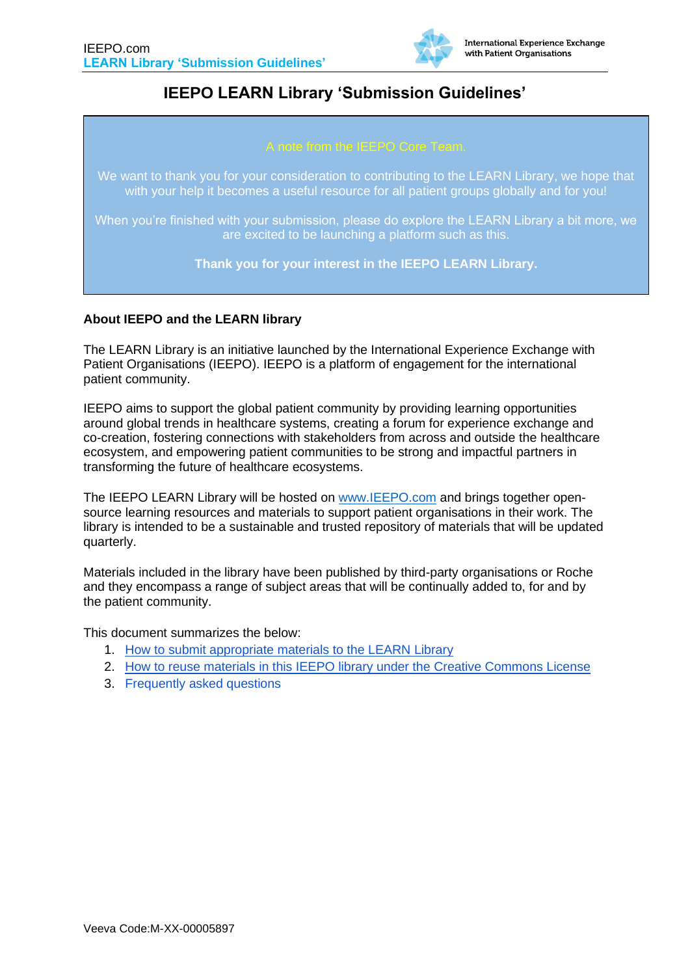

# **IEEPO LEARN Library 'Submission Guidelines'**

We want to thank you for your consideration to contributing to the LEARN Library, we hope that with your help it becomes a useful resource for all patient groups globally and for you!

When you're finished with your submission, please do explore the LEARN Library a bit more, we are excited to be launching a platform such as this.

**Thank you for your interest in the IEEPO LEARN Library.**

### **About IEEPO and the LEARN library**

The LEARN Library is an initiative launched by the International Experience Exchange with Patient Organisations (IEEPO). IEEPO is a platform of engagement for the international patient community.

IEEPO aims to support the global patient community by providing learning opportunities around global trends in healthcare systems, creating a forum for experience exchange and co-creation, fostering connections with stakeholders from across and outside the healthcare ecosystem, and empowering patient communities to be strong and impactful partners in transforming the future of healthcare ecosystems.

The IEEPO LEARN Library will be hosted on [www.IEEPO.com](http://www.ieepo.com/) and brings together opensource learning resources and materials to support patient organisations in their work. The library is intended to be a sustainable and trusted repository of materials that will be updated quarterly.

Materials included in the library have been published by third-party organisations or Roche and they encompass a range of subject areas that will be continually added to, for and by the patient community.

This document summarizes the below:

- 1. [How to submit appropriate materials to the LEARN Library](#page-1-0)
- 2. [How to reuse materials in this IEEPO library under the Creative Commons License](#page-2-0)
- 3. [Frequently asked questions](#page-3-0)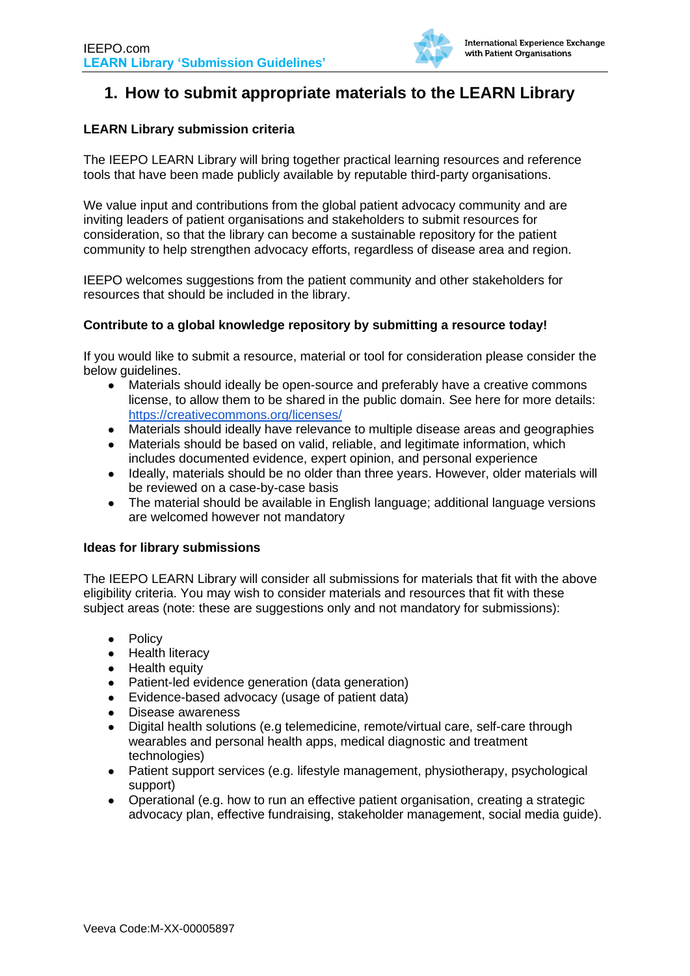

## <span id="page-1-0"></span>**1. How to submit appropriate materials to the LEARN Library**

### **LEARN Library submission criteria**

The IEEPO LEARN Library will bring together practical learning resources and reference tools that have been made publicly available by reputable third-party organisations.

We value input and contributions from the global patient advocacy community and are inviting leaders of patient organisations and stakeholders to submit resources for consideration, so that the library can become a sustainable repository for the patient community to help strengthen advocacy efforts, regardless of disease area and region.

IEEPO welcomes suggestions from the patient community and other stakeholders for resources that should be included in the library.

#### **Contribute to a global knowledge repository by submitting a resource today!**

If you would like to submit a resource, material or tool for consideration please consider the below guidelines.

- Materials should ideally be open-source and preferably have a creative commons license, to allow them to be shared in the public domain. See here for more details: <https://creativecommons.org/licenses/>
- Materials should ideally have relevance to multiple disease areas and geographies
- Materials should be based on valid, reliable, and legitimate information, which includes documented evidence, expert opinion, and personal experience
- Ideally, materials should be no older than three years. However, older materials will be reviewed on a case-by-case basis
- The material should be available in English language; additional language versions are welcomed however not mandatory

#### **Ideas for library submissions**

The IEEPO LEARN Library will consider all submissions for materials that fit with the above eligibility criteria. You may wish to consider materials and resources that fit with these subject areas (note: these are suggestions only and not mandatory for submissions):

- Policy
- Health literacy
- Health equity
- Patient-led evidence generation (data generation)
- Evidence-based advocacy (usage of patient data)
- Disease awareness
- Digital health solutions (e.g telemedicine, remote/virtual care, self-care through wearables and personal health apps, medical diagnostic and treatment technologies)
- Patient support services (e.g. lifestyle management, physiotherapy, psychological support)
- Operational (e.g. how to run an effective patient organisation, creating a strategic advocacy plan, effective fundraising, stakeholder management, social media guide).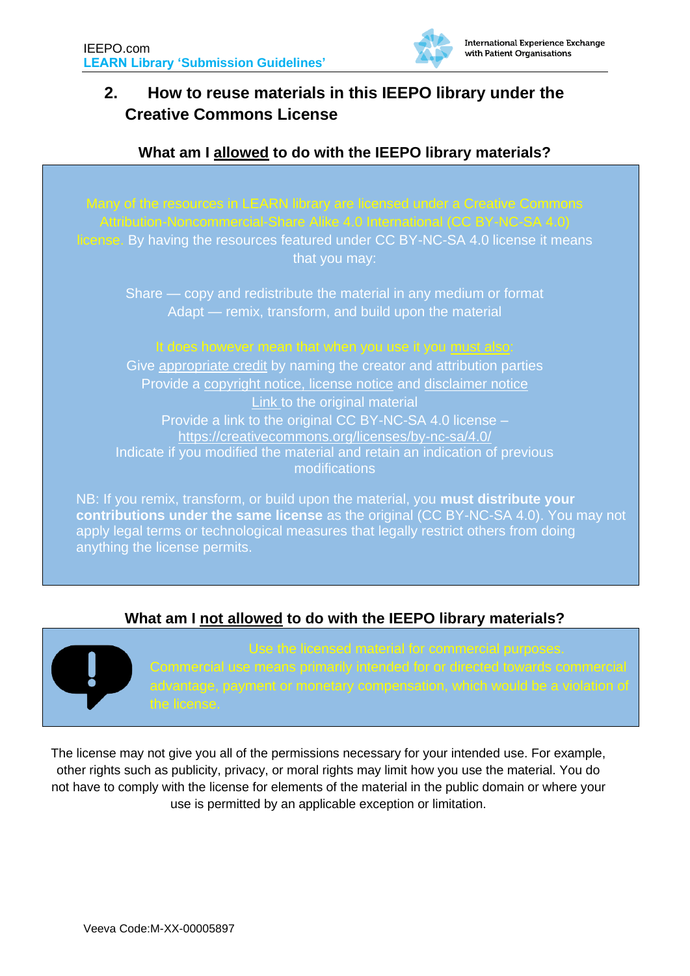

# <span id="page-2-0"></span>**2. How to reuse materials in this IEEPO library under the Creative Commons License**

## **What am I allowed to do with the IEEPO library materials?**

license. By having the resources featured under CC BY-NC-SA 4.0 license it means that you may:

Share — copy and redistribute the material in any medium or format Adapt — remix, transform, and build upon the material

## It does however mean that when you use it you must also:

Give appropriate credit by naming the creator and attribution parties Provide a copyright notice, license notice and disclaimer notice Link to the original material Provide a link to the original CC BY-NC-SA 4.0 license – https://creativecommons.org/licenses/by-nc-sa/4.0/ Indicate if you modified the material and retain an indication of previous modifications

NB: If you remix, transform, or build upon the material, you **must distribute your contributions under the same license** as the original (CC BY-NC-SA 4.0). You may not apply legal terms or technological measures that legally restrict others from doing anything the license permits.

## **What am I not allowed to do with the IEEPO library materials?**



The license may not give you all of the permissions necessary for your intended use. For example, other rights such as publicity, privacy, or moral rights may limit how you use the material. You do not have to comply with the license for elements of the material in the public domain or where your use is permitted by an applicable exception or limitation.